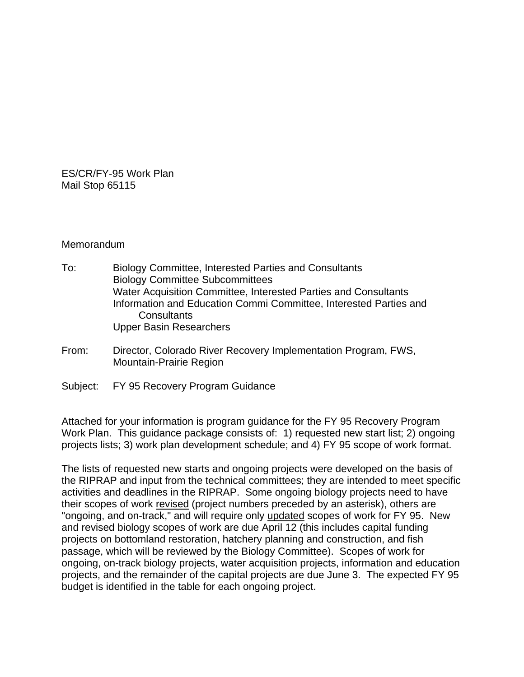ES/CR/FY-95 Work Plan Mail Stop 65115

#### Memorandum

- To: Biology Committee, Interested Parties and Consultants Biology Committee Subcommittees Water Acquisition Committee, Interested Parties and Consultants Information and Education Commi Committee, Interested Parties and **Consultants** Upper Basin Researchers
- From: Director, Colorado River Recovery Implementation Program, FWS, Mountain-Prairie Region
- Subject: FY 95 Recovery Program Guidance

Attached for your information is program guidance for the FY 95 Recovery Program Work Plan. This guidance package consists of: 1) requested new start list; 2) ongoing projects lists; 3) work plan development schedule; and 4) FY 95 scope of work format.

The lists of requested new starts and ongoing projects were developed on the basis of the RIPRAP and input from the technical committees; they are intended to meet specific activities and deadlines in the RIPRAP. Some ongoing biology projects need to have their scopes of work revised (project numbers preceded by an asterisk), others are "ongoing, and on-track," and will require only updated scopes of work for FY 95. New and revised biology scopes of work are due April 12 (this includes capital funding projects on bottomland restoration, hatchery planning and construction, and fish passage, which will be reviewed by the Biology Committee). Scopes of work for ongoing, on-track biology projects, water acquisition projects, information and education projects, and the remainder of the capital projects are due June 3. The expected FY 95 budget is identified in the table for each ongoing project.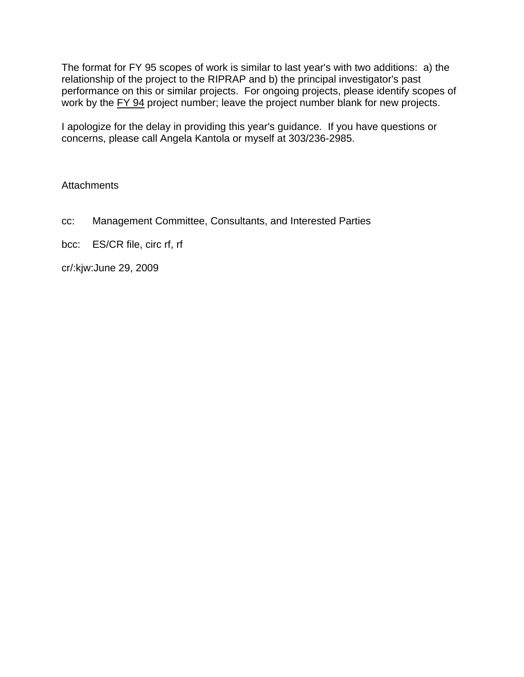The format for FY 95 scopes of work is similar to last year's with two additions: a) the relationship of the project to the RIPRAP and b) the principal investigator's past performance on this or similar projects. For ongoing projects, please identify scopes of work by the FY 94 project number; leave the project number blank for new projects.

I apologize for the delay in providing this year's guidance. If you have questions or concerns, please call Angela Kantola or myself at 303/236-2985.

## **Attachments**

cc: Management Committee, Consultants, and Interested Parties

bcc: ES/CR file, circ rf, rf

cr/:kjw:June 29, 2009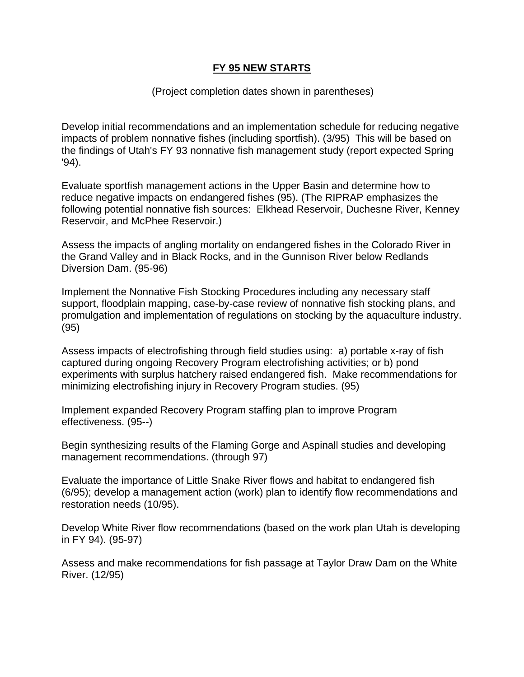# **FY 95 NEW STARTS**

### (Project completion dates shown in parentheses)

Develop initial recommendations and an implementation schedule for reducing negative impacts of problem nonnative fishes (including sportfish). (3/95) This will be based on the findings of Utah's FY 93 nonnative fish management study (report expected Spring '94).

Evaluate sportfish management actions in the Upper Basin and determine how to reduce negative impacts on endangered fishes (95). (The RIPRAP emphasizes the following potential nonnative fish sources: Elkhead Reservoir, Duchesne River, Kenney Reservoir, and McPhee Reservoir.)

Assess the impacts of angling mortality on endangered fishes in the Colorado River in the Grand Valley and in Black Rocks, and in the Gunnison River below Redlands Diversion Dam. (95-96)

Implement the Nonnative Fish Stocking Procedures including any necessary staff support, floodplain mapping, case-by-case review of nonnative fish stocking plans, and promulgation and implementation of regulations on stocking by the aquaculture industry. (95)

Assess impacts of electrofishing through field studies using: a) portable x-ray of fish captured during ongoing Recovery Program electrofishing activities; or b) pond experiments with surplus hatchery raised endangered fish. Make recommendations for minimizing electrofishing injury in Recovery Program studies. (95)

Implement expanded Recovery Program staffing plan to improve Program effectiveness. (95--)

Begin synthesizing results of the Flaming Gorge and Aspinall studies and developing management recommendations. (through 97)

Evaluate the importance of Little Snake River flows and habitat to endangered fish (6/95); develop a management action (work) plan to identify flow recommendations and restoration needs (10/95).

Develop White River flow recommendations (based on the work plan Utah is developing in FY 94). (95-97)

Assess and make recommendations for fish passage at Taylor Draw Dam on the White River. (12/95)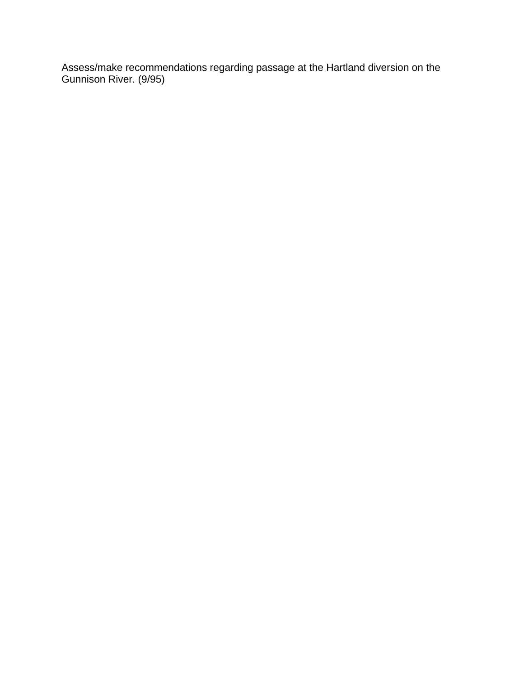Assess/make recommendations regarding passage at the Hartland diversion on the Gunnison River. (9/95)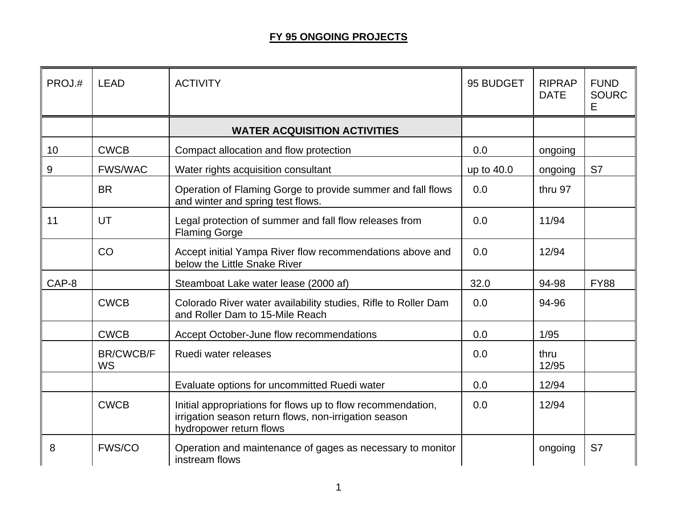# **FY 95 ONGOING PROJECTS**

| PROJ.# | <b>LEAD</b>            | <b>ACTIVITY</b>                                                                                                                                 | 95 BUDGET  | <b>RIPRAP</b><br><b>DATE</b> | <b>FUND</b><br><b>SOURC</b><br>Е |
|--------|------------------------|-------------------------------------------------------------------------------------------------------------------------------------------------|------------|------------------------------|----------------------------------|
|        |                        | <b>WATER ACQUISITION ACTIVITIES</b>                                                                                                             |            |                              |                                  |
| 10     | <b>CWCB</b>            | Compact allocation and flow protection                                                                                                          | 0.0        | ongoing                      |                                  |
| 9      | <b>FWS/WAC</b>         | Water rights acquisition consultant                                                                                                             | up to 40.0 | ongoing                      | S7                               |
|        | <b>BR</b>              | Operation of Flaming Gorge to provide summer and fall flows<br>and winter and spring test flows.                                                | 0.0        | thru 97                      |                                  |
| 11     | UT                     | Legal protection of summer and fall flow releases from<br><b>Flaming Gorge</b>                                                                  | 0.0        | 11/94                        |                                  |
|        | CO                     | Accept initial Yampa River flow recommendations above and<br>below the Little Snake River                                                       | 0.0        | 12/94                        |                                  |
| CAP-8  |                        | Steamboat Lake water lease (2000 af)                                                                                                            | 32.0       | 94-98                        | <b>FY88</b>                      |
|        | <b>CWCB</b>            | Colorado River water availability studies, Rifle to Roller Dam<br>and Roller Dam to 15-Mile Reach                                               | 0.0        | 94-96                        |                                  |
|        | <b>CWCB</b>            | Accept October-June flow recommendations                                                                                                        | 0.0        | 1/95                         |                                  |
|        | <b>BR/CWCB/F</b><br>WS | Ruedi water releases                                                                                                                            | 0.0        | thru<br>12/95                |                                  |
|        |                        | Evaluate options for uncommitted Ruedi water                                                                                                    | 0.0        | 12/94                        |                                  |
|        | <b>CWCB</b>            | Initial appropriations for flows up to flow recommendation,<br>irrigation season return flows, non-irrigation season<br>hydropower return flows | 0.0        | 12/94                        |                                  |
| 8      | <b>FWS/CO</b>          | Operation and maintenance of gages as necessary to monitor<br>instream flows                                                                    |            | ongoing                      | S7                               |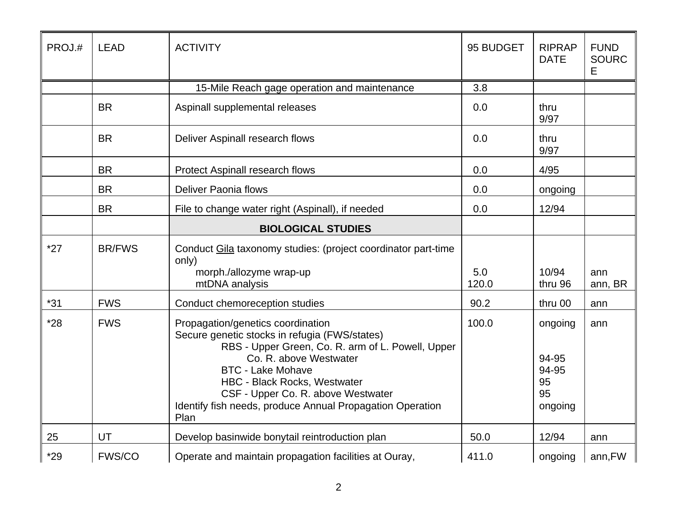| PROJ.# | <b>LEAD</b>   | <b>ACTIVITY</b>                                                                                                                                                                                                                                                                                                                                 | 95 BUDGET    | <b>RIPRAP</b><br><b>DATE</b>                     | <b>FUND</b><br><b>SOURC</b><br>Е |
|--------|---------------|-------------------------------------------------------------------------------------------------------------------------------------------------------------------------------------------------------------------------------------------------------------------------------------------------------------------------------------------------|--------------|--------------------------------------------------|----------------------------------|
|        |               | 15-Mile Reach gage operation and maintenance                                                                                                                                                                                                                                                                                                    | 3.8          |                                                  |                                  |
|        | <b>BR</b>     | Aspinall supplemental releases                                                                                                                                                                                                                                                                                                                  | 0.0          | thru<br>9/97                                     |                                  |
|        | <b>BR</b>     | Deliver Aspinall research flows                                                                                                                                                                                                                                                                                                                 | 0.0          | thru<br>9/97                                     |                                  |
|        | <b>BR</b>     | Protect Aspinall research flows                                                                                                                                                                                                                                                                                                                 | 0.0          | 4/95                                             |                                  |
|        | <b>BR</b>     | <b>Deliver Paonia flows</b>                                                                                                                                                                                                                                                                                                                     | 0.0          | ongoing                                          |                                  |
|        | <b>BR</b>     | File to change water right (Aspinall), if needed                                                                                                                                                                                                                                                                                                | 0.0          | 12/94                                            |                                  |
|        |               | <b>BIOLOGICAL STUDIES</b>                                                                                                                                                                                                                                                                                                                       |              |                                                  |                                  |
| $*27$  | <b>BR/FWS</b> | Conduct Gila taxonomy studies: (project coordinator part-time<br>only)<br>morph./allozyme wrap-up<br>mtDNA analysis                                                                                                                                                                                                                             | 5.0<br>120.0 | 10/94<br>thru 96                                 | ann<br>ann, BR                   |
| $*31$  | <b>FWS</b>    | Conduct chemoreception studies                                                                                                                                                                                                                                                                                                                  | 90.2         | thru 00                                          | ann                              |
| $*28$  | <b>FWS</b>    | Propagation/genetics coordination<br>Secure genetic stocks in refugia (FWS/states)<br>RBS - Upper Green, Co. R. arm of L. Powell, Upper<br>Co. R. above Westwater<br><b>BTC - Lake Mohave</b><br><b>HBC - Black Rocks, Westwater</b><br>CSF - Upper Co. R. above Westwater<br>Identify fish needs, produce Annual Propagation Operation<br>Plan | 100.0        | ongoing<br>94-95<br>94-95<br>95<br>95<br>ongoing | ann                              |
| 25     | UT            | Develop basinwide bonytail reintroduction plan                                                                                                                                                                                                                                                                                                  | 50.0         | 12/94                                            | ann                              |
| $*29$  | <b>FWS/CO</b> | Operate and maintain propagation facilities at Ouray,                                                                                                                                                                                                                                                                                           | 411.0        | ongoing                                          | ann, FW                          |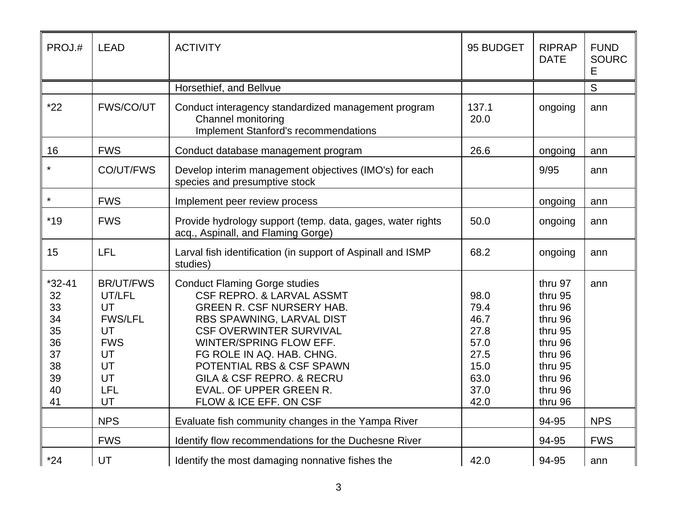| PROJ.#                                                                 | <b>LEAD</b>                                                                                           | <b>ACTIVITY</b>                                                                                                                                                                                                                                                                                                                                        | 95 BUDGET                                                                    | <b>RIPRAP</b><br><b>DATE</b>                                                                                          | <b>FUND</b><br><b>SOURC</b><br>Е |
|------------------------------------------------------------------------|-------------------------------------------------------------------------------------------------------|--------------------------------------------------------------------------------------------------------------------------------------------------------------------------------------------------------------------------------------------------------------------------------------------------------------------------------------------------------|------------------------------------------------------------------------------|-----------------------------------------------------------------------------------------------------------------------|----------------------------------|
|                                                                        |                                                                                                       | Horsethief, and Bellvue                                                                                                                                                                                                                                                                                                                                |                                                                              |                                                                                                                       | $\overline{S}$                   |
| $*22$                                                                  | FWS/CO/UT                                                                                             | Conduct interagency standardized management program<br>Channel monitoring<br><b>Implement Stanford's recommendations</b>                                                                                                                                                                                                                               | 137.1<br>20.0                                                                | ongoing                                                                                                               | ann                              |
| 16                                                                     | <b>FWS</b>                                                                                            | Conduct database management program                                                                                                                                                                                                                                                                                                                    | 26.6                                                                         | ongoing                                                                                                               | ann                              |
| $\star$                                                                | CO/UT/FWS                                                                                             | Develop interim management objectives (IMO's) for each<br>species and presumptive stock                                                                                                                                                                                                                                                                |                                                                              | 9/95                                                                                                                  | ann                              |
| $\star$                                                                | <b>FWS</b>                                                                                            | Implement peer review process                                                                                                                                                                                                                                                                                                                          |                                                                              | ongoing                                                                                                               | ann                              |
| $*19$                                                                  | <b>FWS</b>                                                                                            | Provide hydrology support (temp. data, gages, water rights<br>acq., Aspinall, and Flaming Gorge)                                                                                                                                                                                                                                                       | 50.0                                                                         | ongoing                                                                                                               | ann                              |
| 15                                                                     | LFL                                                                                                   | Larval fish identification (in support of Aspinall and ISMP<br>studies)                                                                                                                                                                                                                                                                                | 68.2                                                                         | ongoing                                                                                                               | ann                              |
| $*32 - 41$<br>32<br>33<br>34<br>35<br>36<br>37<br>38<br>39<br>40<br>41 | <b>BR/UT/FWS</b><br>UT/LFL<br>UT<br><b>FWS/LFL</b><br>UT<br><b>FWS</b><br>UT<br>UT<br>UT<br>LFL<br>UT | <b>Conduct Flaming Gorge studies</b><br><b>CSF REPRO. &amp; LARVAL ASSMT</b><br><b>GREEN R. CSF NURSERY HAB.</b><br>RBS SPAWNING, LARVAL DIST<br><b>CSF OVERWINTER SURVIVAL</b><br>WINTER/SPRING FLOW EFF.<br>FG ROLE IN AQ. HAB. CHNG.<br>POTENTIAL RBS & CSF SPAWN<br>GILA & CSF REPRO. & RECRU<br>EVAL. OF UPPER GREEN R.<br>FLOW & ICE EFF. ON CSF | 98.0<br>79.4<br>46.7<br>27.8<br>57.0<br>27.5<br>15.0<br>63.0<br>37.0<br>42.0 | thru 97<br>thru 95<br>thru 96<br>thru 96<br>thru 95<br>thru 96<br>thru 96<br>thru 95<br>thru 96<br>thru 96<br>thru 96 | ann                              |
|                                                                        | <b>NPS</b>                                                                                            | Evaluate fish community changes in the Yampa River                                                                                                                                                                                                                                                                                                     |                                                                              | 94-95                                                                                                                 | <b>NPS</b>                       |
|                                                                        | <b>FWS</b>                                                                                            | Identify flow recommendations for the Duchesne River                                                                                                                                                                                                                                                                                                   |                                                                              | 94-95                                                                                                                 | <b>FWS</b>                       |
| $*24$                                                                  | UT                                                                                                    | Identify the most damaging nonnative fishes the                                                                                                                                                                                                                                                                                                        | 42.0                                                                         | 94-95                                                                                                                 | ann                              |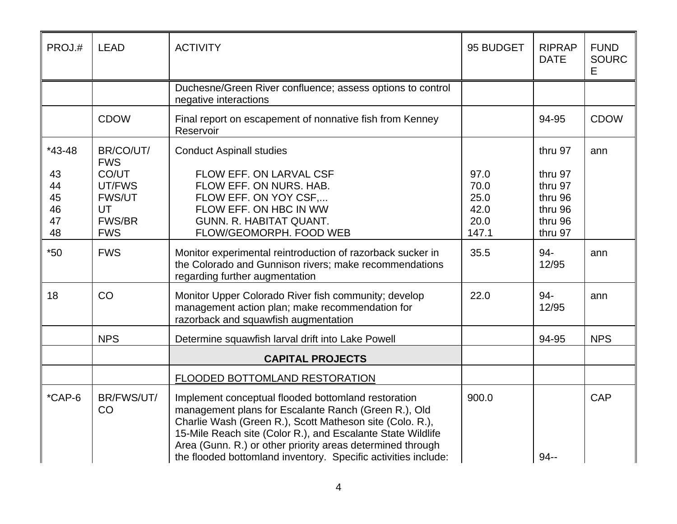| PROJ.#                           | <b>LEAD</b>                                                           | <b>ACTIVITY</b>                                                                                                                                                                                                                                                                                                                                                        | 95 BUDGET                                     | <b>RIPRAP</b><br><b>DATE</b>                                   | <b>FUND</b><br><b>SOURC</b><br>E. |
|----------------------------------|-----------------------------------------------------------------------|------------------------------------------------------------------------------------------------------------------------------------------------------------------------------------------------------------------------------------------------------------------------------------------------------------------------------------------------------------------------|-----------------------------------------------|----------------------------------------------------------------|-----------------------------------|
|                                  |                                                                       | Duchesne/Green River confluence; assess options to control<br>negative interactions                                                                                                                                                                                                                                                                                    |                                               |                                                                |                                   |
|                                  | <b>CDOW</b>                                                           | Final report on escapement of nonnative fish from Kenney<br>Reservoir                                                                                                                                                                                                                                                                                                  |                                               | 94-95                                                          | <b>CDOW</b>                       |
| $*43-48$                         | BR/CO/UT/<br><b>FWS</b>                                               | <b>Conduct Aspinall studies</b>                                                                                                                                                                                                                                                                                                                                        |                                               | thru 97                                                        | ann                               |
| 43<br>44<br>45<br>46<br>47<br>48 | CO/UT<br>UT/FWS<br><b>FWS/UT</b><br>UT<br><b>FWS/BR</b><br><b>FWS</b> | FLOW EFF. ON LARVAL CSF<br>FLOW EFF. ON NURS. HAB.<br>FLOW EFF. ON YOY CSF,<br>FLOW EFF. ON HBC IN WW<br>GUNN. R. HABITAT QUANT.<br>FLOW/GEOMORPH. FOOD WEB                                                                                                                                                                                                            | 97.0<br>70.0<br>25.0<br>42.0<br>20.0<br>147.1 | thru 97<br>thru 97<br>thru 96<br>thru 96<br>thru 96<br>thru 97 |                                   |
| $*50$                            | <b>FWS</b>                                                            | Monitor experimental reintroduction of razorback sucker in<br>the Colorado and Gunnison rivers; make recommendations<br>regarding further augmentation                                                                                                                                                                                                                 | 35.5                                          | 94-<br>12/95                                                   | ann                               |
| 18                               | CO                                                                    | Monitor Upper Colorado River fish community; develop<br>management action plan; make recommendation for<br>razorback and squawfish augmentation                                                                                                                                                                                                                        | 22.0                                          | 94-<br>12/95                                                   | ann                               |
|                                  | <b>NPS</b>                                                            | Determine squawfish larval drift into Lake Powell                                                                                                                                                                                                                                                                                                                      |                                               | 94-95                                                          | <b>NPS</b>                        |
|                                  |                                                                       | <b>CAPITAL PROJECTS</b>                                                                                                                                                                                                                                                                                                                                                |                                               |                                                                |                                   |
|                                  |                                                                       | FLOODED BOTTOMLAND RESTORATION                                                                                                                                                                                                                                                                                                                                         |                                               |                                                                |                                   |
| $*$ CAP-6                        | BR/FWS/UT/<br>CO                                                      | Implement conceptual flooded bottomland restoration<br>management plans for Escalante Ranch (Green R.), Old<br>Charlie Wash (Green R.), Scott Matheson site (Colo. R.),<br>15-Mile Reach site (Color R.), and Escalante State Wildlife<br>Area (Gunn. R.) or other priority areas determined through<br>the flooded bottomland inventory. Specific activities include: | 900.0                                         | $94 -$                                                         | <b>CAP</b>                        |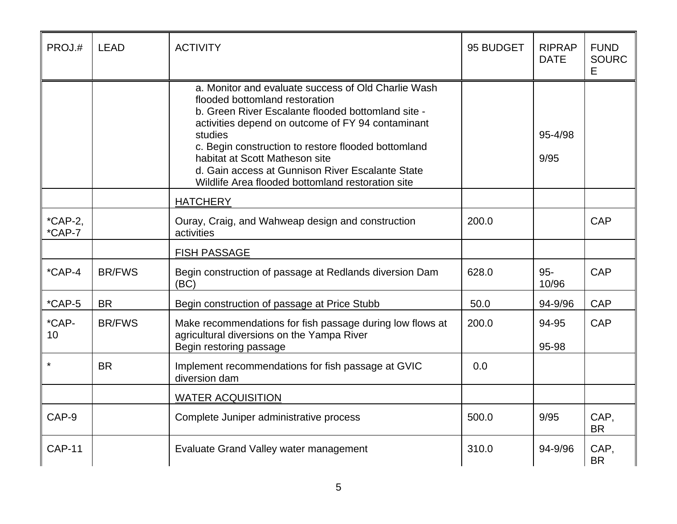| PROJ.#              | <b>LEAD</b>   | <b>ACTIVITY</b>                                                                                                                                                                                                                                                                                                                                                                                               | 95 BUDGET | <b>RIPRAP</b><br><b>DATE</b> | <b>FUND</b><br><b>SOURC</b><br>Е |
|---------------------|---------------|---------------------------------------------------------------------------------------------------------------------------------------------------------------------------------------------------------------------------------------------------------------------------------------------------------------------------------------------------------------------------------------------------------------|-----------|------------------------------|----------------------------------|
|                     |               | a. Monitor and evaluate success of Old Charlie Wash<br>flooded bottomland restoration<br>b. Green River Escalante flooded bottomland site -<br>activities depend on outcome of FY 94 contaminant<br>studies<br>c. Begin construction to restore flooded bottomland<br>habitat at Scott Matheson site<br>d. Gain access at Gunnison River Escalante State<br>Wildlife Area flooded bottomland restoration site |           | 95-4/98<br>9/95              |                                  |
|                     |               | <b>HATCHERY</b>                                                                                                                                                                                                                                                                                                                                                                                               |           |                              |                                  |
| $*CAP-2,$<br>*CAP-7 |               | Ouray, Craig, and Wahweap design and construction<br>activities                                                                                                                                                                                                                                                                                                                                               | 200.0     |                              | <b>CAP</b>                       |
|                     |               | <b>FISH PASSAGE</b>                                                                                                                                                                                                                                                                                                                                                                                           |           |                              |                                  |
| $*$ CAP-4           | <b>BR/FWS</b> | Begin construction of passage at Redlands diversion Dam<br>(BC)                                                                                                                                                                                                                                                                                                                                               | 628.0     | 95-<br>10/96                 | <b>CAP</b>                       |
| $*$ CAP-5           | <b>BR</b>     | Begin construction of passage at Price Stubb                                                                                                                                                                                                                                                                                                                                                                  | 50.0      | 94-9/96                      | <b>CAP</b>                       |
| *CAP-<br>10         | <b>BR/FWS</b> | Make recommendations for fish passage during low flows at<br>agricultural diversions on the Yampa River<br>Begin restoring passage                                                                                                                                                                                                                                                                            | 200.0     | 94-95<br>95-98               | <b>CAP</b>                       |
| $\star$             | <b>BR</b>     | Implement recommendations for fish passage at GVIC<br>diversion dam                                                                                                                                                                                                                                                                                                                                           | 0.0       |                              |                                  |
|                     |               | <b>WATER ACQUISITION</b>                                                                                                                                                                                                                                                                                                                                                                                      |           |                              |                                  |
| CAP-9               |               | Complete Juniper administrative process                                                                                                                                                                                                                                                                                                                                                                       | 500.0     | 9/95                         | CAP,<br><b>BR</b>                |
| <b>CAP-11</b>       |               | Evaluate Grand Valley water management                                                                                                                                                                                                                                                                                                                                                                        | 310.0     | 94-9/96                      | CAP,<br><b>BR</b>                |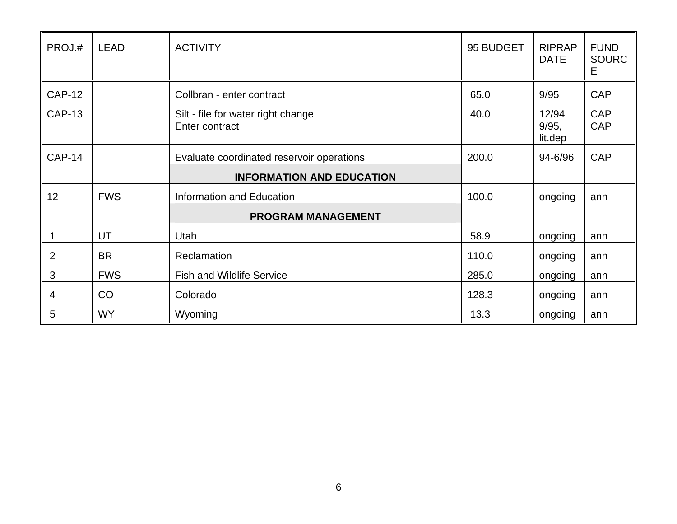| PROJ.#        | <b>LEAD</b> | <b>ACTIVITY</b>                                      | 95 BUDGET | <b>RIPRAP</b><br><b>DATE</b> | <b>FUND</b><br><b>SOURC</b><br>Е |
|---------------|-------------|------------------------------------------------------|-----------|------------------------------|----------------------------------|
| <b>CAP-12</b> |             | Collbran - enter contract                            | 65.0      | 9/95                         | <b>CAP</b>                       |
| <b>CAP-13</b> |             | Silt - file for water right change<br>Enter contract | 40.0      | 12/94<br>9/95,<br>lit.dep    | <b>CAP</b><br><b>CAP</b>         |
| <b>CAP-14</b> |             | Evaluate coordinated reservoir operations            | 200.0     | 94-6/96                      | <b>CAP</b>                       |
|               |             | <b>INFORMATION AND EDUCATION</b>                     |           |                              |                                  |
| 12            | <b>FWS</b>  | Information and Education                            | 100.0     | ongoing                      | ann                              |
|               |             | <b>PROGRAM MANAGEMENT</b>                            |           |                              |                                  |
|               | <b>UT</b>   | Utah                                                 | 58.9      | ongoing                      | ann                              |
| 2             | <b>BR</b>   | Reclamation                                          | 110.0     | ongoing                      | ann                              |
| 3             | <b>FWS</b>  | <b>Fish and Wildlife Service</b>                     | 285.0     | ongoing                      | ann                              |
| 4             | CO          | Colorado                                             | 128.3     | ongoing                      | ann                              |
| 5             | WY.         | Wyoming                                              | 13.3      | ongoing                      | ann                              |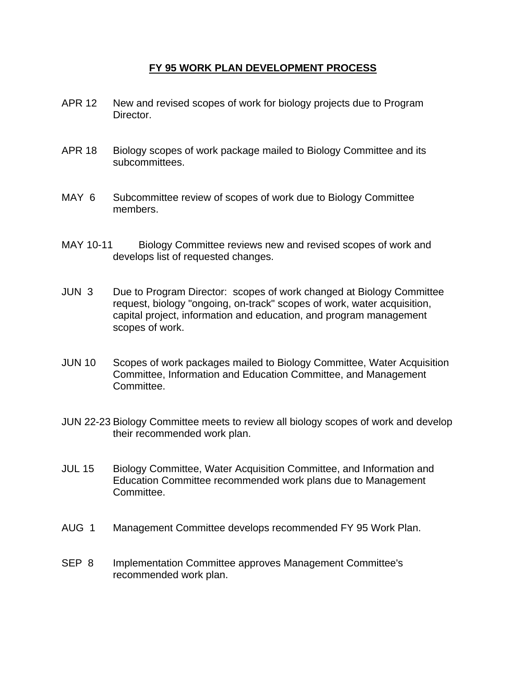## **FY 95 WORK PLAN DEVELOPMENT PROCESS**

- APR 12 New and revised scopes of work for biology projects due to Program Director.
- APR 18 Biology scopes of work package mailed to Biology Committee and its subcommittees.
- MAY 6 Subcommittee review of scopes of work due to Biology Committee members.
- MAY 10-11 Biology Committee reviews new and revised scopes of work and develops list of requested changes.
- JUN 3 Due to Program Director: scopes of work changed at Biology Committee request, biology "ongoing, on-track" scopes of work, water acquisition, capital project, information and education, and program management scopes of work.
- JUN 10 Scopes of work packages mailed to Biology Committee, Water Acquisition Committee, Information and Education Committee, and Management Committee.
- JUN 22-23 Biology Committee meets to review all biology scopes of work and develop their recommended work plan.
- JUL 15 Biology Committee, Water Acquisition Committee, and Information and Education Committee recommended work plans due to Management Committee.
- AUG 1 Management Committee develops recommended FY 95 Work Plan.
- SEP 8 Implementation Committee approves Management Committee's recommended work plan.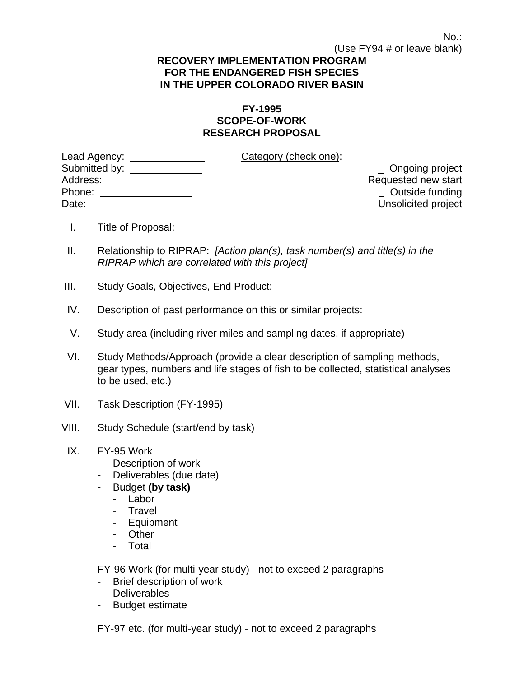#### (Use FY94 # or leave blank)  **RECOVERY IMPLEMENTATION PROGRAM FOR THE ENDANGERED FISH SPECIES**

# **IN THE UPPER COLORADO RIVER BASIN**

# **FY-1995 SCOPE-OF-WORK RESEARCH PROPOSAL**

| Lead Agency: ______________     | Category (check one): |                     |
|---------------------------------|-----------------------|---------------------|
| Submitted by: <u>containing</u> |                       | Ongoing project     |
| Address:                        |                       | Requested new start |
| Phone:                          |                       | Outside funding     |
| Date:                           |                       | Unsolicited project |

- I. Title of Proposal:
- II. Relationship to RIPRAP: *[Action plan(s), task number(s) and title(s) in the RIPRAP which are correlated with this project]*
- III. Study Goals, Objectives, End Product:
- IV. Description of past performance on this or similar projects:
- V. Study area (including river miles and sampling dates, if appropriate)
- VI. Study Methods/Approach (provide a clear description of sampling methods, gear types, numbers and life stages of fish to be collected, statistical analyses to be used, etc.)
- VII. Task Description (FY-1995)
- VIII. Study Schedule (start/end by task)
- IX. FY-95 Work
	- Description of work
	- Deliverables (due date)
	- Budget **(by task)**
		- Labor
		- Travel
		- Equipment
		- Other
		- Total

FY-96 Work (for multi-year study) - not to exceed 2 paragraphs

- Brief description of work
- Deliverables
- Budget estimate

FY-97 etc. (for multi-year study) - not to exceed 2 paragraphs

No.: